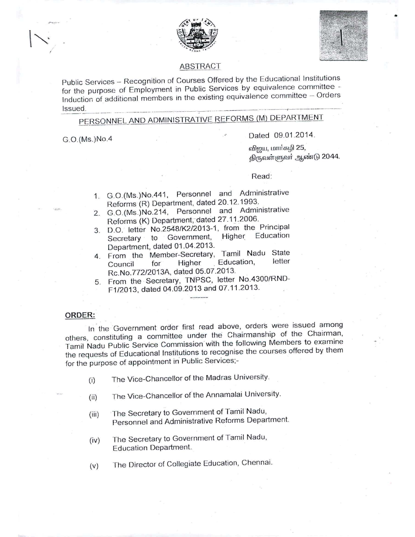



•

# ABSTRACT

Public Services - Recognition of Courses Offered by the Educational Institutions for the purpose of Employment in Public Services by equivalence committee - Induction of additional members in the existing equivalence committee  $-$  Orders --\_.\_-- \_.-.--\_ Issued. ...\_--\_.\_------\_....\_-------\_.....--------\_ ....-----+-.\_-------\_ ..

# PERSONNEL AND ADMINISTRATIVE REFORMS (M) DEPARTMEN

GO.(Ms.)NoA Dated 09.01.2014.

வினுப, மார்கழி 25, திருவள்ளுவர் ஆண்டு 2044.

Read:

- 1. G.0.(Ms.)NoA41, Personnel and Administrative Reforms (R) Department, dated 20.12.1993.
- 2. G.0.(Ms.)No.214, Personnel and Administrative Reforms (K) Department, dated 27.11.2006.
- 3. D.O. letter No.2548/K2/2013-1, from the Principal Secretary to Government, Higher Department, dated 01.04.2013.
- 4. From the Member-Secretary, Tamil Nadu State<br>Council for Higher Education. letter Council for Higher . Education, Rc.No.772/2013A, dated 05.07.2013.
- 5. From the Secretary, TNPSC, letter No.4300/RND-
- F1/2013, dated 04.09.2013 and 07.11.2013.

## **ORDER:**

In the Government order first read above, orders were issued among others, constituting a committee under the Chairmanship of the Chairman, Tamil Nadu Public Service Commission. with the following Members to examine the requests of Educational Institutions to recognise the courses offered by them for the purpose of appointment in Public Services;-

- (i) The Vice-Chancellor of the Madras University.
- (ii) The Vice-Chancellor of the Annamalai University.
- (iii) The Secretary to Government of Tamil Nadu, Personnel and Administrative Reforms Department.
- (iv) The Secretary to Government of Tamil Nadu, Ed ucation Department.
- (v) The Director of Collegiate Education, Chennai.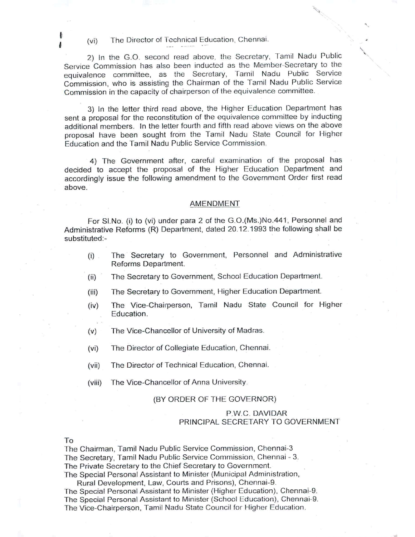(vi) The Director of Technical Education, Chennai.

2) In the G.O. second read above, the Secretary, Tamil Nadu Public Service Commission has also been inducted as the Member-Secretary to the equivalence committee, as the Secretary, Tamil Nadu Public Service Commission, who is assisting the Chairman of the Tamil Nadu Public Service Commission in'the capacity of chairperson of Ihe equivalence committee.

~l

 $\overline{\phantom{0}}$ .<br>, ,

3) In the letter third read above, the Higher Education Department has sent a proposal for the reconstitution of the equivalence committee by inducting additional members. In the letter fourth and fifth read above views on the above proposal have been sought from the Tamil Nadu State Council for Higher Education and the Tamil Nadu Public Service Commission.

4) The Government after, careful examination of the proposal has decided to accept the proposal of the Higher Education Department and accordingly issue the following amendment to the Government Order first read above.

### AMENDMENT

For SI.No. (i) to (vi) under para 2 of the G.0.(Ms.)No.441, Personnel and Administrative Reforms (R) Department, dated 20.12.1993 the following shall be substituted:-

- (i) The Secretary to Government, Personnel and Administrative Reforms Department.
- (ii) The Secretary to Government, School Education Department.
- (iii) The Secretary to Government, Higher Education Department.
- (iv) The Vice-Chairperson, Tamil Nadu State Council for Higher Education.
- (v) The Vice-Chancellor of University of Madras.
- (vi) The Director of Collegiate Education, Chennai.
- (vii) The Director of Technical Education, Chennai.
- (viii) The Vice-Chancellor of Anna University.

## (BY ORDER OF THE GOVERNOR)

# P.WC. DAVIDAR PRINCIPAL SECRETARY TO GOVERNMENT

#### To

t

The Chairman, Tamil Nadu Public Service Commission, Chennai-3 The Secretary, Tamil Nadu Public Service Commission, Chennai - 3. The Private Secretary to the Chief Secretary to Government. The Special Personal Assistant to Minister (Municipal Administration,

Rural Development, Law, Courts and Prisons), Chennai-9. The Special Personal Assistant to Minister (Higher Education), Chennai-9. The Special Personal Assistant to Minister (School Education), Chennai-9. The Vice-Chairperson, Tamil Nadu State Council for Higher Education.